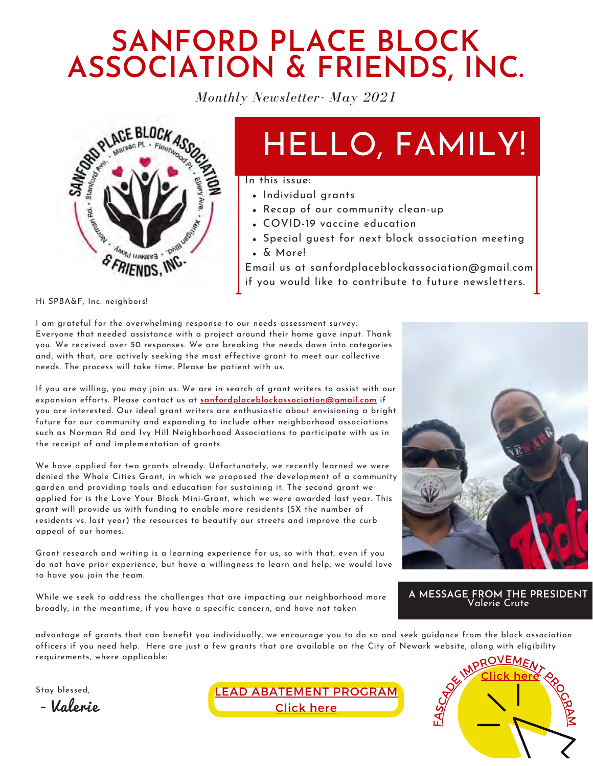## **SANFORD PLACE BLOCK ASSOCIATION & FRIENDS, INC.**

*Monthly Newsletter- May 2021*



# HELLO, FAMILY!

In this issue:

- Individual grants
- Recap of our community clean-up
- COVID-19 vaccine education
- Special guest for next block association meeting & More!

Email us at sanfordplaceblockassociation@gmail.com if you would like to contribute to future newsletters.

Hi SPBA&F, Inc. neighbors!

I am grateful for the overwhelming response to our needs assessment survey. Everyone that needed assistance with a project around their home gave input. Thank you. We received over 50 responses. We are breaking the needs down into categories and, with that, are actively seeking the most effective grant to meet our collective needs. The process will take time. Please be patient with us.

If you are willing, you may join us. We are in search of grant writers to assist with our expansion efforts. Please contact us at **sanfordplaceblockassociation@gmail.com** if you are interested. Our ideal grant writers are enthusiastic about envisioning a bright future for our community and expanding to include other neighborhood associations such as Norman Rd and Ivy Hill Neighborhood Associations to participate with us in the receipt of and implementation of grants.

We have applied for two grants already. Unfortunately, we recently learned we were denied the Whole Cities Grant, in which we proposed the development of a community garden and providing tools and education for sustaining it. The second grant we applied for is the Love Your Block Mini-Grant, which we were awarded last year. This grant will provide us with funding to enable more residents (5X the number of residents vs. last year) the resources to beautify our streets and improve the curb appeal of our homes.

Grant research and writing is a learning experience for us, so with that, even if you do not have prior experience, but have a willingness to learn and help, we would love to have you join the team.

While we seek to address the challenges that are impacting our neighborhood more broadly, in the meantime, if you have a specific concern, and have not taken

advantage of grants that can benefit you individually, we encourage you to do so and seek guidance from the block association officers if you need help. Here are just a few grants that are available on the City of Newark website, along with eligibility requirements, where applicable:

Stay blessed,

- Valerie





**A MESSAGE FROM THE PRESIDENT** Valerie Crute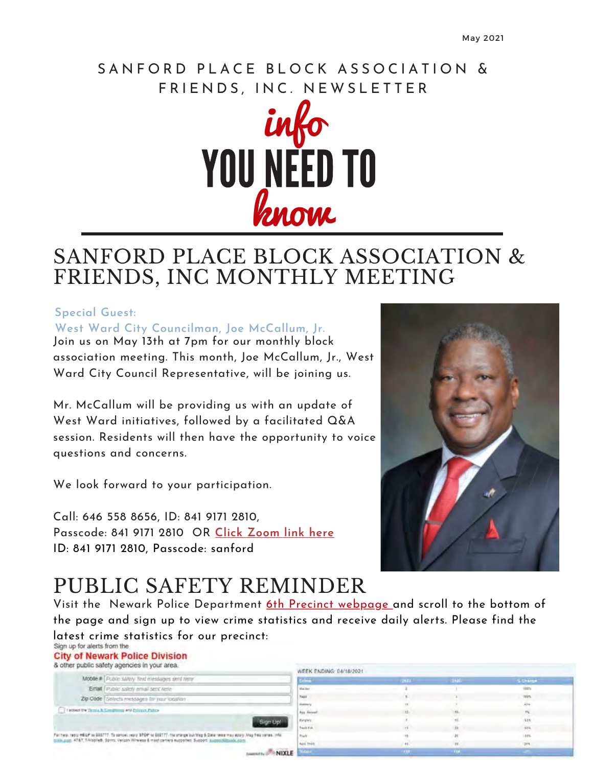#### SANFORD PLACE BLOCK ASSOCIATION & FRIENDS, INC. NEWSLETTER



### SANFORD PLACE BLOCK ASSOCIATION & FRIENDS, INC MONTHLY MEETING

#### **Special Guest:**

**West Ward City Councilman, Joe McCallum, Jr.** 

Join us on May 13th at 7pm for our monthly block association meeting. This month, Joe McCallum, Jr., West Ward City Council Representative, will be joining us.

Mr. McCallum will be providing us with an update of West Ward initiatives, followed by a facilitated Q&A session. Residents will then have the opportunity to voice questions and concerns.

We look forward to your participation.

Call: 646 558 8656, ID: 841 9171 2810, Passcode: 841 9171 2810 OR **Click Zoom link here** ID: 841 9171 2810, Passcode: sanford



## PUBLIC SAFETY REMINDER

Visit the Newark Police Department 6th Precinct webpage and scroll to the bottom of the page and sign up to view crime statistics and receive daily alerts. Please find the latest crime statistics for our precinct:<br>Sign.up.foraiens.from.the

MIXLE

**City of Newark Police Division** 

| Mobile # Public salety 'fext messages sent here'  |
|---------------------------------------------------|
| Email Public salety email sent rene               |
| Zip Code Selects messages for your location       |
| I sobed by Telmia & Conditions and Private Palice |
|                                                   |

| WEEK ENDING: 04/18/2021 |              |                  |                  |
|-------------------------|--------------|------------------|------------------|
| <b>Lilms</b>            | 2011         | 1430             | <b>S Charge</b>  |
| Mai Ser                 |              |                  | <b>Han</b>       |
|                         | $\mathbf{r}$ |                  | ms               |
| hasa<br>Herman          |              |                  | 43%              |
| Aus Aktest              | 13.          | Ville.           | $\boldsymbol{n}$ |
| Hughes<br>Tealufah      |              | H.               | sis              |
|                         | in c         | A6               | 53%              |
| <b>Tiell</b>            | $+8$         | $\boldsymbol{B}$ | 18%              |
| April 1941              | $+1$         | n                | pen.             |
| <b>State</b>            | <b>FIT</b>   | <b>TEM</b>       |                  |
|                         |              |                  |                  |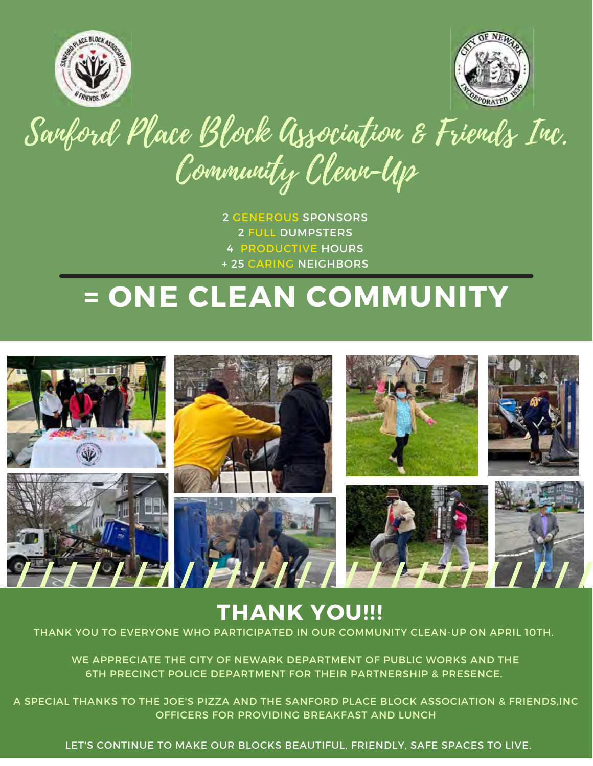



# Sarford Place Block Association & Friends Inc. Community Clean-Up

 GENEROUS SPONSORS FULL DUMPSTERS PRODUCTIVE HOURS + 25 CARING NEIGHBORS

# **= ONE CLEAN COMMUNITY**



## **THANK YOU!!!**

THANK YOU TO EVERYONE WHO PARTICIPATED IN OUR COMMUNITY CLEAN-UP ON APRIL 10TH.

WE APPRECIATE THE CITY OF NEWARK DEPARTMENT OF PUBLIC WORKS AND THE 6TH PRECINCT POLICE DEPARTMENT FOR THEIR PARTNERSHIP & PRESENCE.

A SPECIAL THANKS TO THE JOE'S PIZZA AND THE SANFORD PLACE BLOCK ASSOCIATION & FRIENDS,INC OFFICERS FOR PROVIDING BREAKFAST AND LUNCH

LET'S CONTINUE TO MAKE OUR BLOCKS BEAUTIFUL, FRIENDLY, SAFE SPACES TO LIVE.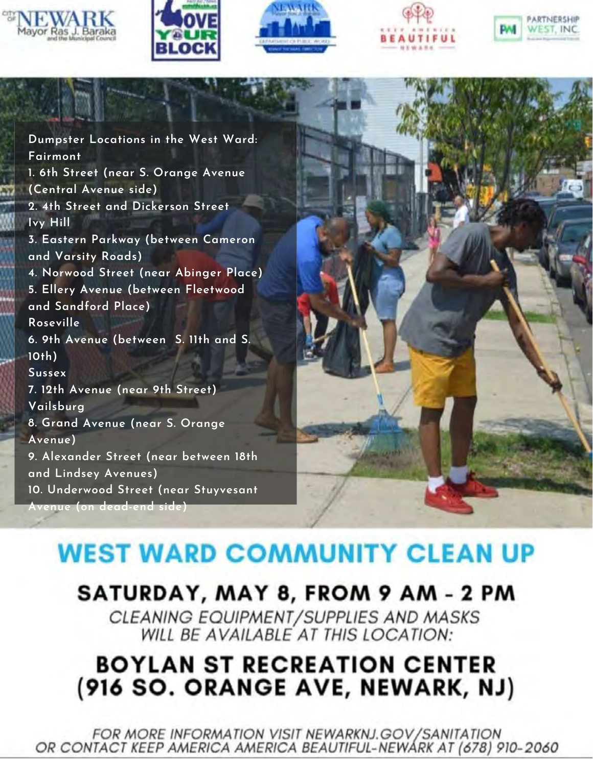









Dumpster Locations in the West Ward: Fairmont 1. 6th Street (near S. Orange Avenue (Central Avenue side) 2. 4th Street and Dickerson Street Ivy Hill 3. Eastern Parkway (between Cameron and Varsity Roads) 4. Norwood Street (near Abinger Place) 5. Ellery Avenue (between Fleetwood and Sandford Place) Roseville 6. 9th Avenue (between S. 11th and S.  $10th$ ) **Sussex** 7. 12th Avenue (near 9th Street) Vailsburg 8. Grand Avenue (near S. Orange Avenue) 9. Alexander Street (near between 18th and Lindsey Avenues) 10. Underwood Street (near Stuyvesant Avenue (on dead-end side)



# **WEST WARD COMMUNITY CLEAN UP**

## SATURDAY, MAY 8, FROM 9 AM - 2 PM

CLEANING EQUIPMENT/SUPPLIES AND MASKS WILL BE AVAILABLE AT THIS LOCATION:

## **BOYLAN ST RECREATION CENTER** (916 SO. ORANGE AVE, NEWARK, NJ)

**FOR MORE INFORMATION VISIT NEWARKNJ.GOV/SANITATION** OR CONTACT KEEP AMERICA AMERICA BEAUTIFUL-NEWARK AT (678) 910-2060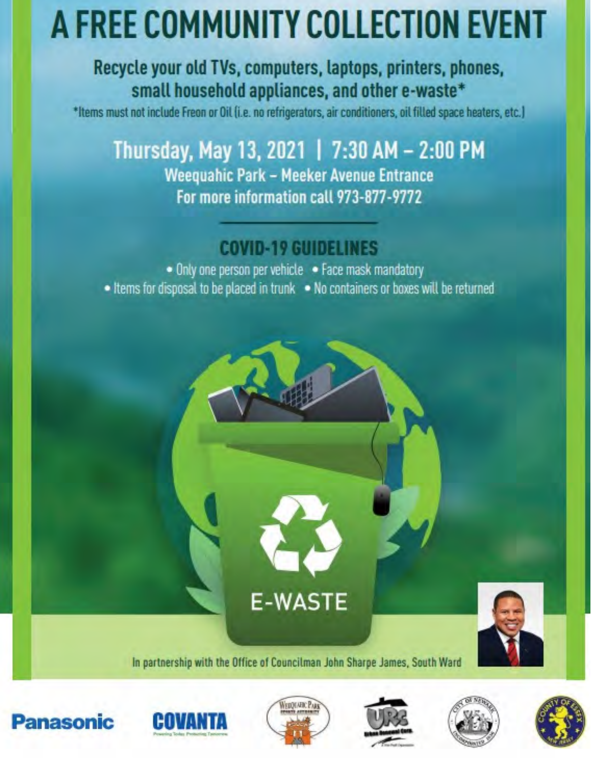# A FREE COMMUNITY COLLECTION EVENT

#### Recycle your old TVs, computers, laptops, printers, phones, small household appliances, and other e-waste\*

\*Items must not include Freon or Oil (i.e. no refrigerators, air conditioners, oil filled space heaters, etc.)

### Thursday, May 13, 2021 | 7:30 AM - 2:00 PM Weequahic Park - Meeker Avenue Entrance For more information call 973-877-9772

### **COVID-19 GUIDELINES**

. Only one person per vehicle . Face mask mandatory • Items for disposal to be placed in trunk • No containers or boxes will be returned



**E-WASTE** 











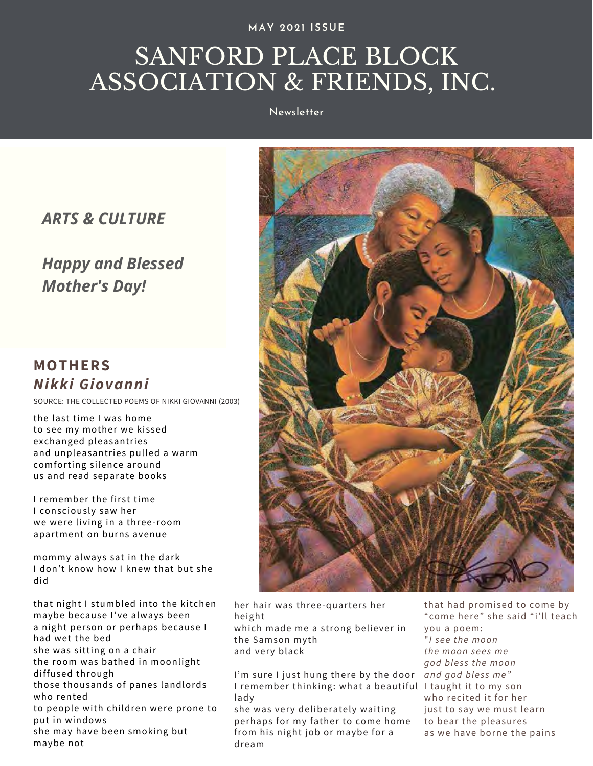**MAY 2021 ISSUE**

## SANFORD PLACE BLOCK ASSOCIATION & FRIENDS, INC.

Newsletter

#### *ARTS & CULTURE*

#### *Happy and Blessed Mother's Day!*

#### **MOTHERS** *Nikki Giovanni*

SOURCE: THE COLLECTED POEMS OF NIKKI GIOVANNI (2003)

the last time I was home to see my mother we kissed exchanged pleasantries and unpleasantries pulled a warm comforting silence around us and read separate books

I remember the first time I consciously saw her we were living in a three-room apartment on burns avenue

mommy always sat in the dark I don't know how I knew that but she did

that night I stumbled into the kitchen maybe because I've always been a night person or perhaps because I had wet the bed she was sitting on a chair the room was bathed in moonlight diffused through

those thousands of panes landlords who rented

to people with children were prone to put in windows she may have been smoking but

maybe not



her hair was three-quarters her height which made me a strong believer in the Samson myth and very black

I'm sure I just hung there by the door *and god bless me"*  I remember thinking: what a beautiful I taught it to my son lady

she was very deliberately waiting perhaps for my father to come home from his night job or maybe for a dream

that had promised to come by "come here" she said "i'll teach you a poem: "*I see the moon the moon sees me god bless the moon* who recited it for her just to say we must learn to bear the pleasures as we have borne the pains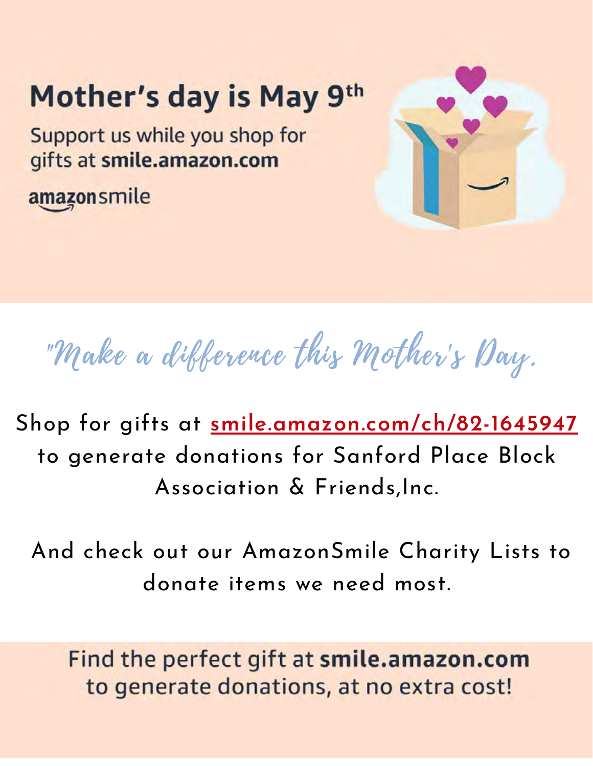# Mother's day is May 9th

Support us while you shop for gifts at smile.amazon.com

amazonsmile



"Make a difference this Mother's Day.

Shop for gifts at **smile.amazon.com/ch/82-1645947** to generate donations for Sanford Place Block Association & Friends,Inc.

 And check out our AmazonSmile Charity Lists to donate items we need most.

Find the perfect gift at smile.amazon.com to generate donations, at no extra cost!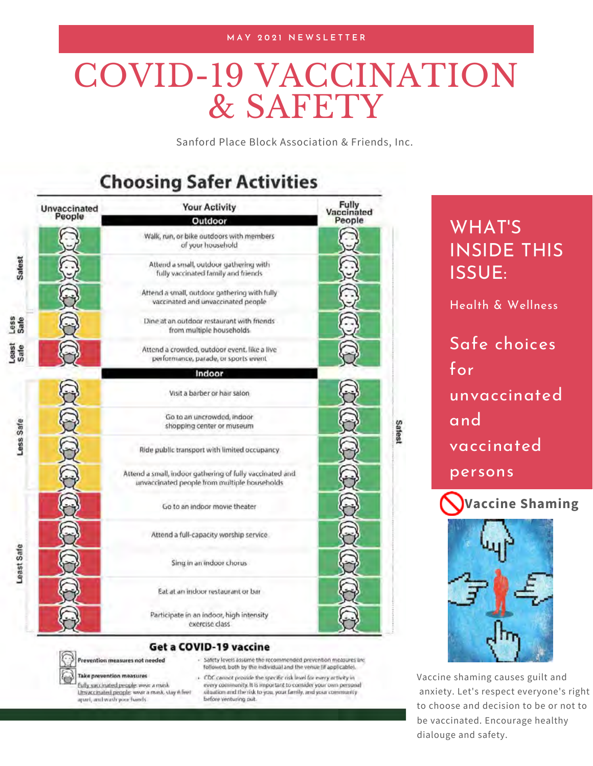#### **M A Y 2 0 2 1 N E W S L E T T E R**

# COVID-19 VACCINATION & SAFETY

Sanford Place Block Association & Friends, Inc.

#### **Choosing Safer Activities**

| <b>Unvaccinated</b><br>People |  | <b>Your Activity</b><br>Outdoor                                                                          | Fully<br>Vaccinated<br>People |        |
|-------------------------------|--|----------------------------------------------------------------------------------------------------------|-------------------------------|--------|
| Safest                        |  | Walk, run, or bike outdoors with members<br>of your household                                            |                               |        |
|                               |  | Attend a small, outdoor gathering with<br>fully vaccinated family and friends                            |                               |        |
|                               |  | Attend a small, outdoor gathering with fully<br>vaccinated and unvaccinated people                       |                               |        |
| Less<br>Safe                  |  | Dine at an outdoor restaurant with friends<br>from multiple households                                   |                               |        |
| Least<br>Sate                 |  | Attend a crowded, outdoor event, like a live<br>performance, parade, or sports event                     |                               |        |
|                               |  | Indoor                                                                                                   |                               |        |
|                               |  | Visit a barber or hair salon                                                                             |                               |        |
| Less Safe                     |  | Go to an uncrowded, indoor<br>shopping center or museum                                                  |                               | Safest |
|                               |  | Ride public transport with limited occupancy.                                                            |                               |        |
|                               |  | Attend a small, indoor gathering of fully vaccinated and<br>unvaccinated people from multiple households |                               |        |
|                               |  | Go to an indoor movie theater                                                                            |                               |        |
| Least Safe                    |  | Attend a full-capacity worship service                                                                   |                               |        |
|                               |  | Sing in an indoor chorus                                                                                 |                               |        |
|                               |  | Eat at an indoor restaurant or bar                                                                       |                               |        |
|                               |  | Participate in an indoor, high intensity<br>exercise class.                                              |                               |        |

#### Get a COVID-19 vaccine

before venturing out.

Prevention measures not needed

- Safety levels assume the recommended prevention measures are followed, both by the individual and the venue (if applicable).

#### **Take prevention measures**

fully vaccinated people wear a misk Unvaccinated people wear a mask, stay is feet apari, and wash your hands

. CDC cannot provide the specific risk level for every artivity in every community. It is important to consider your own personal situation and the risk to you, your family, and your community







Vaccine shaming causes guilt and anxiety. Let's respect everyone's right to choose and decision to be or not to be vaccinated. Encourage healthy dialouge and safety.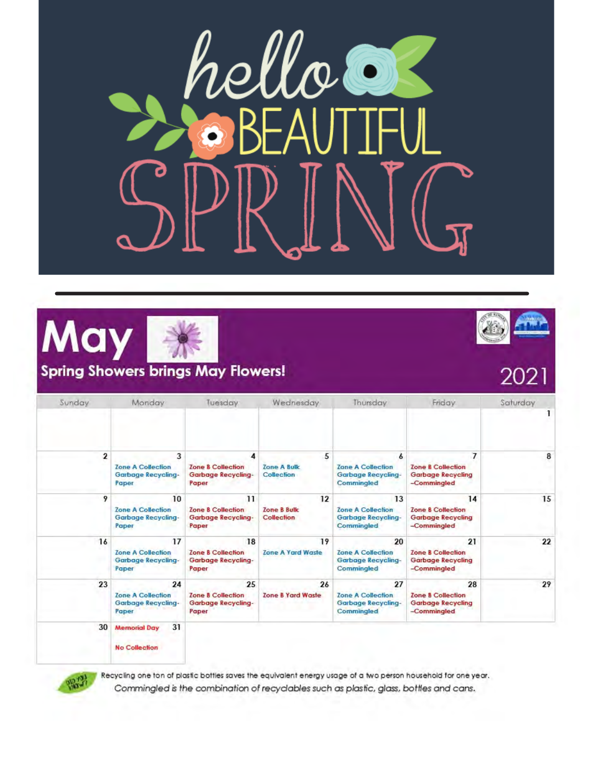





#### **Spring Showers brings May Flowers!**



## 202

| Sunday       | Monday                                                        | Tuesday                                                           | Wednesday                                             | Thursday                                                           | Friday                                                                    | Saturday |
|--------------|---------------------------------------------------------------|-------------------------------------------------------------------|-------------------------------------------------------|--------------------------------------------------------------------|---------------------------------------------------------------------------|----------|
|              |                                                               |                                                                   |                                                       |                                                                    |                                                                           |          |
| $\mathbf{2}$ | 3<br><b>Zone A Collection</b><br>Garbage Recycling-<br>Paper  | 4<br><b>Zone B Collection</b><br>Garbage Recycling-<br>Paper      | 5<br><b>Zone A Bulk</b><br>Collection                 | 6<br><b>Zone A Collection</b><br>Garbage Recycling-<br>Commingled  | <b>Zone B Collection</b><br><b>Garbage Recycling</b><br>-Commingled       | 8        |
| 9            | 10<br><b>Zone A Collection</b><br>Garbage Recycling-<br>Paper | 11<br><b>Zone B Collection</b><br>Garbage Recycling-<br>Paper     | $12 \overline{ }$<br><b>Zone B Bulk</b><br>Collection | 13<br><b>Zone A Collection</b><br>Garbage Recycling-<br>Commingled | 14<br><b>Zone B Collection</b><br><b>Garbage Recycling</b><br>-Commingled | 15       |
| 16           | 17<br><b>Zone A Collection</b><br>Garbage Recycling-<br>Paper | 18<br><b>Zone &amp; Collection</b><br>Garbage Recycling-<br>Paper | 19<br><b>Zone A Yard Waste</b>                        | 20<br><b>Zone A Collection</b><br>Garbage Recycling-<br>Commingled | 21<br><b>Zone B Collection</b><br>Garbage Recycling<br>-Commingled        | 22       |
| 23           | 24<br><b>Zone A Collection</b><br>Garbage Recycling-<br>Paper | 25<br><b>Zone B Collection</b><br>Garbage Recycling-<br>Paper     | 26<br>Zone B Yard Waste                               | 27<br><b>Zone A Collection</b><br>Garbage Recycling-<br>Commingled | 28<br><b>Zone B Collection</b><br>Garbage Recycling<br>-Commingled        | 29       |
| 30           | 31<br><b>Memorial Day</b><br><b>No Collection</b>             |                                                                   |                                                       |                                                                    |                                                                           |          |



Recycling one ton of plastic bottles saves the equivalent energy usage of a two person household for one year. Commingled is the combination of recyclables such as plastic, glass, bottles and cans.